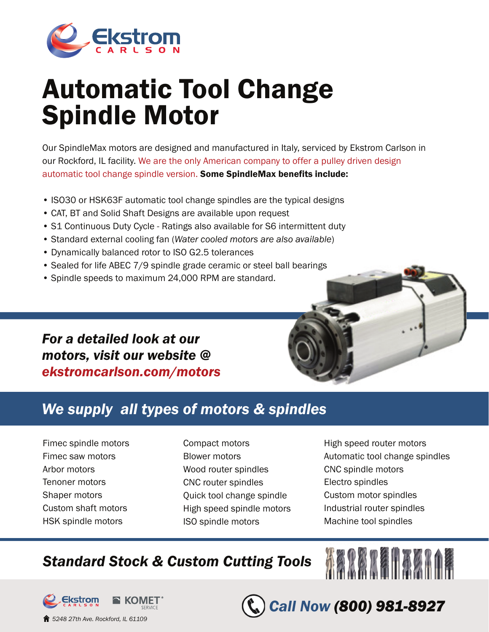

# Automatic Tool Change Spindle Motor

Our SpindleMax motors are designed and manufactured in Italy, serviced by Ekstrom Carlson in our Rockford, IL facility. We are the only American company to offer a pulley driven design automatic tool change spindle version. Some SpindleMax benefits include:

- ISO30 or HSK63F automatic tool change spindles are the typical designs
- CAT, BT and Solid Shaft Designs are available upon request
- S1 Continuous Duty Cycle Ratings also available for S6 intermittent duty
- Standard external cooling fan (*Water cooled motors are also available*)
- Dynamically balanced rotor to ISO G2.5 tolerances
- Sealed for life ABEC 7/9 spindle grade ceramic or steel ball bearings
- Spindle speeds to maximum 24,000 RPM are standard.

### *For a detailed look at our motors, visit our website @ ekstromcarlson.com/motors*

## *We supply all types of motors & spindles*

- Fimec spindle motors Fimec saw motors Arbor motors Tenoner motors Shaper motors Custom shaft motors HSK spindle motors
- Compact motors Blower motors Wood router spindles CNC router spindles Quick tool change spindle High speed spindle motors ISO spindle motors
- High speed router motors Automatic tool change spindles CNC spindle motors Electro spindles Custom motor spindles Industrial router spindles Machine tool spindles

**ABRAZEN AZAAN** 

*Call Now (800) 981-8927*

# *Standard Stock & Custom Cutting Tools*